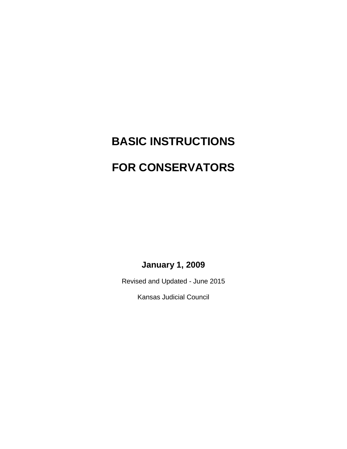# **BASIC INSTRUCTIONS FOR CONSERVATORS**

**January 1, 2009**

Revised and Updated - June 2015

Kansas Judicial Council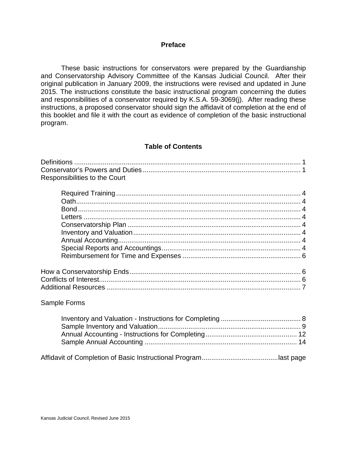## **Preface**

These basic instructions for conservators were prepared by the Guardianship and Conservatorship Advisory Committee of the Kansas Judicial Council. After their original publication in January 2009, the instructions were revised and updated in June 2015. The instructions constitute the basic instructional program concerning the duties and responsibilities of a conservator required by K.S.A. 59-3069(j). After reading these instructions, a proposed conservator should sign the affidavit of completion at the end of this booklet and file it with the court as evidence of completion of the basic instructional program.

## **Table of Contents**

| Responsibilities to the Court |  |
|-------------------------------|--|
|                               |  |
|                               |  |
|                               |  |
|                               |  |
|                               |  |
|                               |  |
|                               |  |
|                               |  |
|                               |  |
|                               |  |
|                               |  |
|                               |  |
|                               |  |
|                               |  |
| Sample Forms                  |  |
|                               |  |
|                               |  |
|                               |  |
|                               |  |
|                               |  |

Affidavit of Completion of Basic Instructional Program........................................last page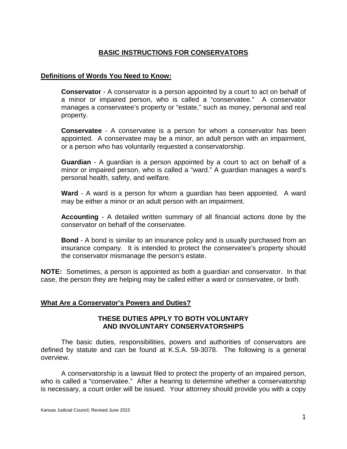# **BASIC INSTRUCTIONS FOR CONSERVATORS**

## **Definitions of Words You Need to Know:**

**Conservator** - A conservator is a person appointed by a court to act on behalf of a minor or impaired person, who is called a "conservatee." A conservator manages a conservatee's property or "estate," such as money, personal and real property.

**Conservatee** - A conservatee is a person for whom a conservator has been appointed. A conservatee may be a minor, an adult person with an impairment, or a person who has voluntarily requested a conservatorship.

**Guardian** - A guardian is a person appointed by a court to act on behalf of a minor or impaired person, who is called a "ward." A guardian manages a ward's personal health, safety, and welfare.

**Ward** - A ward is a person for whom a guardian has been appointed. A ward may be either a minor or an adult person with an impairment.

**Accounting** - A detailed written summary of all financial actions done by the conservator on behalf of the conservatee.

**Bond** - A bond is similar to an insurance policy and is usually purchased from an insurance company. It is intended to protect the conservatee's property should the conservator mismanage the person's estate.

**NOTE:** Sometimes, a person is appointed as both a guardian and conservator. In that case, the person they are helping may be called either a ward or conservatee, or both.

# **What Are a Conservator's Powers and Duties?**

## **THESE DUTIES APPLY TO BOTH VOLUNTARY AND INVOLUNTARY CONSERVATORSHIPS**

The basic duties, responsibilities, powers and authorities of conservators are defined by statute and can be found at K.S.A. 59-3078. The following is a general overview.

A conservatorship is a lawsuit filed to protect the property of an impaired person, who is called a "conservatee." After a hearing to determine whether a conservatorship is necessary, a court order will be issued. Your attorney should provide you with a copy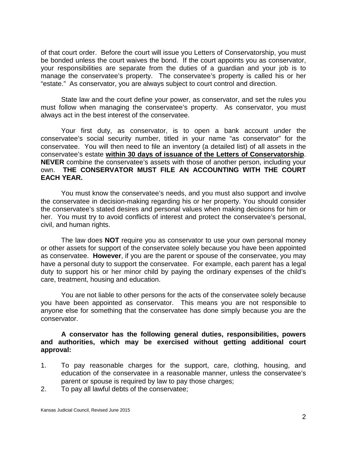of that court order. Before the court will issue you Letters of Conservatorship, you must be bonded unless the court waives the bond. If the court appoints you as conservator, your responsibilities are separate from the duties of a guardian and your job is to manage the conservatee's property. The conservatee's property is called his or her "estate." As conservator, you are always subject to court control and direction.

State law and the court define your power, as conservator, and set the rules you must follow when managing the conservatee's property. As conservator, you must always act in the best interest of the conservatee.

Your first duty, as conservator, is to open a bank account under the conservatee's social security number, titled in your name "as conservator" for the conservatee. You will then need to file an inventory (a detailed list) of all assets in the conservatee's estate **within 30 days of issuance of the Letters of Conservatorship**. **NEVER** combine the conservatee's assets with those of another person, including your own. **THE CONSERVATOR MUST FILE AN ACCOUNTING WITH THE COURT EACH YEAR.**

You must know the conservatee's needs, and you must also support and involve the conservatee in decision-making regarding his or her property. You should consider the conservatee's stated desires and personal values when making decisions for him or her. You must try to avoid conflicts of interest and protect the conservatee's personal, civil, and human rights.

The law does **NOT** require you as conservator to use your own personal money or other assets for support of the conservatee solely because you have been appointed as conservatee. **However**, if you are the parent or spouse of the conservatee, you may have a personal duty to support the conservatee. For example, each parent has a legal duty to support his or her minor child by paying the ordinary expenses of the child's care, treatment, housing and education.

You are not liable to other persons for the acts of the conservatee solely because you have been appointed as conservator. This means you are not responsible to anyone else for something that the conservatee has done simply because you are the conservator.

## **A conservator has the following general duties, responsibilities, powers and authorities, which may be exercised without getting additional court approval:**

- 1. To pay reasonable charges for the support, care, clothing, housing, and education of the conservatee in a reasonable manner, unless the conservatee's parent or spouse is required by law to pay those charges;
- 2. To pay all lawful debts of the conservatee;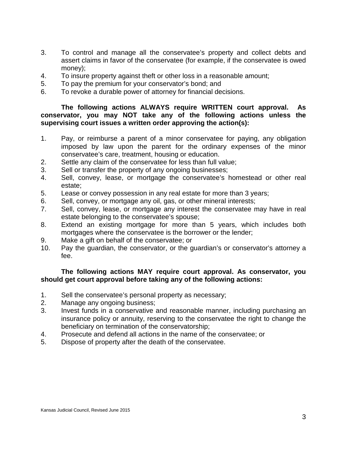- 3. To control and manage all the conservatee's property and collect debts and assert claims in favor of the conservatee (for example, if the conservatee is owed money);
- 4. To insure property against theft or other loss in a reasonable amount;
- 5. To pay the premium for your conservator's bond; and
- 6. To revoke a durable power of attorney for financial decisions.

**The following actions ALWAYS require WRITTEN court approval. As conservator, you may NOT take any of the following actions unless the supervising court issues a written order approving the action(s):**

- 1. Pay, or reimburse a parent of a minor conservatee for paying, any obligation imposed by law upon the parent for the ordinary expenses of the minor conservatee's care, treatment, housing or education.
- 2. Settle any claim of the conservatee for less than full value;
- 3. Sell or transfer the property of any ongoing businesses;
- 4. Sell, convey, lease, or mortgage the conservatee's homestead or other real estate;
- 5. Lease or convey possession in any real estate for more than 3 years;
- 6. Sell, convey, or mortgage any oil, gas, or other mineral interests;
- 7. Sell, convey, lease, or mortgage any interest the conservatee may have in real estate belonging to the conservatee's spouse;
- 8. Extend an existing mortgage for more than 5 years, which includes both mortgages where the conservatee is the borrower or the lender;
- 9. Make a gift on behalf of the conservatee; or
- 10. Pay the guardian, the conservator, or the guardian's or conservator's attorney a fee.

# **The following actions MAY require court approval. As conservator, you should get court approval before taking any of the following actions:**

- 1. Sell the conservatee's personal property as necessary;
- 2. Manage any ongoing business;
- 3. Invest funds in a conservative and reasonable manner, including purchasing an insurance policy or annuity, reserving to the conservatee the right to change the beneficiary on termination of the conservatorship;
- 4. Prosecute and defend all actions in the name of the conservatee; or
- 5. Dispose of property after the death of the conservatee.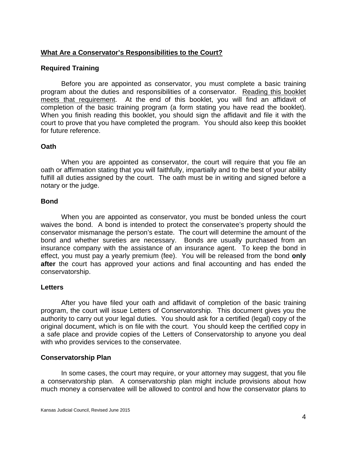# **What Are a Conservator's Responsibilities to the Court?**

## **Required Training**

Before you are appointed as conservator, you must complete a basic training program about the duties and responsibilities of a conservator. Reading this booklet meets that requirement. At the end of this booklet, you will find an affidavit of completion of the basic training program (a form stating you have read the booklet). When you finish reading this booklet, you should sign the affidavit and file it with the court to prove that you have completed the program. You should also keep this booklet for future reference.

## **Oath**

When you are appointed as conservator, the court will require that you file an oath or affirmation stating that you will faithfully, impartially and to the best of your ability fulfill all duties assigned by the court. The oath must be in writing and signed before a notary or the judge.

## **Bond**

When you are appointed as conservator, you must be bonded unless the court waives the bond. A bond is intended to protect the conservatee's property should the conservator mismanage the person's estate. The court will determine the amount of the bond and whether sureties are necessary. Bonds are usually purchased from an insurance company with the assistance of an insurance agent. To keep the bond in effect, you must pay a yearly premium (fee). You will be released from the bond **only after** the court has approved your actions and final accounting and has ended the conservatorship.

## **Letters**

After you have filed your oath and affidavit of completion of the basic training program, the court will issue Letters of Conservatorship. This document gives you the authority to carry out your legal duties. You should ask for a certified (legal) copy of the original document, which is on file with the court. You should keep the certified copy in a safe place and provide copies of the Letters of Conservatorship to anyone you deal with who provides services to the conservatee.

# **Conservatorship Plan**

In some cases, the court may require, or your attorney may suggest, that you file a conservatorship plan. A conservatorship plan might include provisions about how much money a conservatee will be allowed to control and how the conservator plans to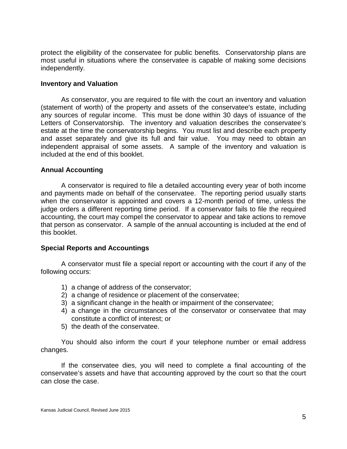protect the eligibility of the conservatee for public benefits. Conservatorship plans are most useful in situations where the conservatee is capable of making some decisions independently.

## **Inventory and Valuation**

As conservator, you are required to file with the court an inventory and valuation (statement of worth) of the property and assets of the conservatee's estate, including any sources of regular income. This must be done within 30 days of issuance of the Letters of Conservatorship. The inventory and valuation describes the conservatee's estate at the time the conservatorship begins. You must list and describe each property and asset separately and give its full and fair value. You may need to obtain an independent appraisal of some assets. A sample of the inventory and valuation is included at the end of this booklet.

## **Annual Accounting**

A conservator is required to file a detailed accounting every year of both income and payments made on behalf of the conservatee. The reporting period usually starts when the conservator is appointed and covers a 12-month period of time, unless the judge orders a different reporting time period. If a conservator fails to file the required accounting, the court may compel the conservator to appear and take actions to remove that person as conservator. A sample of the annual accounting is included at the end of this booklet.

## **Special Reports and Accountings**

A conservator must file a special report or accounting with the court if any of the following occurs:

- 1) a change of address of the conservator;
- 2) a change of residence or placement of the conservatee;
- 3) a significant change in the health or impairment of the conservatee;
- 4) a change in the circumstances of the conservator or conservatee that may constitute a conflict of interest; or
- 5) the death of the conservatee.

You should also inform the court if your telephone number or email address changes.

If the conservatee dies, you will need to complete a final accounting of the conservatee's assets and have that accounting approved by the court so that the court can close the case.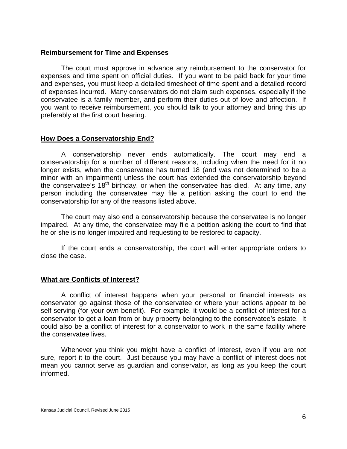## **Reimbursement for Time and Expenses**

The court must approve in advance any reimbursement to the conservator for expenses and time spent on official duties. If you want to be paid back for your time and expenses, you must keep a detailed timesheet of time spent and a detailed record of expenses incurred. Many conservators do not claim such expenses, especially if the conservatee is a family member, and perform their duties out of love and affection. If you want to receive reimbursement, you should talk to your attorney and bring this up preferably at the first court hearing.

## **How Does a Conservatorship End?**

A conservatorship never ends automatically. The court may end a conservatorship for a number of different reasons, including when the need for it no longer exists, when the conservatee has turned 18 (and was not determined to be a minor with an impairment) unless the court has extended the conservatorship beyond the conservatee's  $18<sup>th</sup>$  birthday, or when the conservatee has died. At any time, any person including the conservatee may file a petition asking the court to end the conservatorship for any of the reasons listed above.

The court may also end a conservatorship because the conservatee is no longer impaired. At any time, the conservatee may file a petition asking the court to find that he or she is no longer impaired and requesting to be restored to capacity.

If the court ends a conservatorship, the court will enter appropriate orders to close the case.

## **What are Conflicts of Interest?**

A conflict of interest happens when your personal or financial interests as conservator go against those of the conservatee or where your actions appear to be self-serving (for your own benefit). For example, it would be a conflict of interest for a conservator to get a loan from or buy property belonging to the conservatee's estate. It could also be a conflict of interest for a conservator to work in the same facility where the conservatee lives.

Whenever you think you might have a conflict of interest, even if you are not sure, report it to the court. Just because you may have a conflict of interest does not mean you cannot serve as guardian and conservator, as long as you keep the court informed.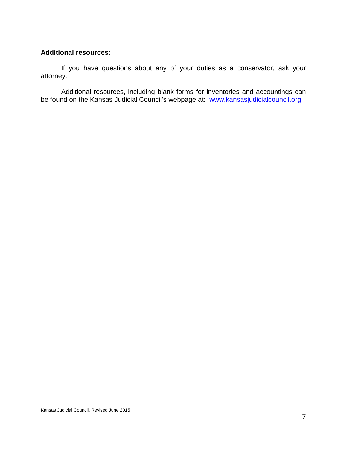# **Additional resources:**

If you have questions about any of your duties as a conservator, ask your attorney.

Additional resources, including blank forms for inventories and accountings can be found on the Kansas Judicial Council's webpage at: [www.kansasjudicialcouncil.org](http://www.kansasjudicialcouncil.org./)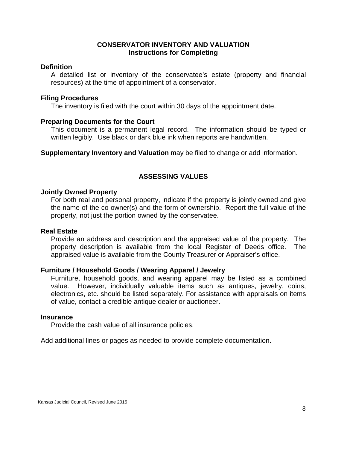## **CONSERVATOR INVENTORY AND VALUATION Instructions for Completing**

#### **Definition**

A detailed list or inventory of the conservatee's estate (property and financial resources) at the time of appointment of a conservator.

#### **Filing Procedures**

The inventory is filed with the court within 30 days of the appointment date.

#### **Preparing Documents for the Court**

This document is a permanent legal record. The information should be typed or written legibly. Use black or dark blue ink when reports are handwritten.

**Supplementary Inventory and Valuation** may be filed to change or add information.

# **ASSESSING VALUES**

#### **Jointly Owned Property**

For both real and personal property, indicate if the property is jointly owned and give the name of the co-owner(s) and the form of ownership. Report the full value of the property, not just the portion owned by the conservatee.

#### **Real Estate**

Provide an address and description and the appraised value of the property. The property description is available from the local Register of Deeds office. The appraised value is available from the County Treasurer or Appraiser's office.

## **Furniture / Household Goods / Wearing Apparel / Jewelry**

Furniture, household goods, and wearing apparel may be listed as a combined value. However, individually valuable items such as antiques, jewelry, coins, electronics, etc. should be listed separately. For assistance with appraisals on items of value, contact a credible antique dealer or auctioneer.

#### **Insurance**

Provide the cash value of all insurance policies.

Add additional lines or pages as needed to provide complete documentation.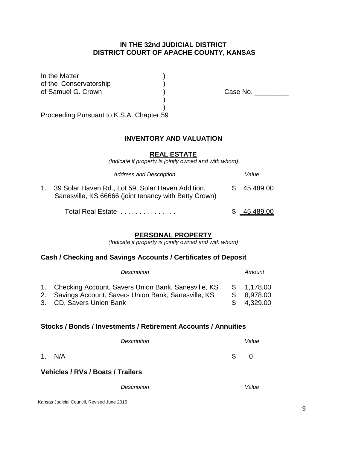# **IN THE 32nd JUDICIAL DISTRICT DISTRICT COURT OF APACHE COUNTY, KANSAS**

In the Matter of the Conservatorship<br>of Samuel G. Crown

) Case No. \_\_\_\_\_\_\_\_\_

Proceeding Pursuant to K.S.A. Chapter 59

## **INVENTORY AND VALUATION**

) )

#### **REAL ESTATE**

*(Indicate if property is jointly owned and with whom)*

| <b>Address and Description</b>                                                                                | Value       |
|---------------------------------------------------------------------------------------------------------------|-------------|
| 1. 39 Solar Haven Rd., Lot 59, Solar Haven Addition,<br>Sanesville, KS 66666 (joint tenancy with Betty Crown) | \$45,489.00 |
| Total Real Estate                                                                                             | \$45,489.00 |

## **PERSONAL PROPERTY**

*(Indicate if property is jointly owned and with whom)*

# **Cash / Checking and Savings Accounts / Certificates of Deposit**

| Description                                            |    | Amount      |
|--------------------------------------------------------|----|-------------|
| 1. Checking Account, Savers Union Bank, Sanesville, KS |    | \$ 1,178.00 |
| 2. Savings Account, Savers Union Bank, Sanesville, KS  | S. | 8,978.00    |
| 3. CD, Savers Union Bank                               |    | 4,329.00    |

## **Stocks / Bonds / Investments / Retirement Accounts / Annuities**

| Description                              | Value   |
|------------------------------------------|---------|
| 1. N/A                                   | \$<br>0 |
| <b>Vehicles / RVs / Boats / Trailers</b> |         |
| Description                              | Value   |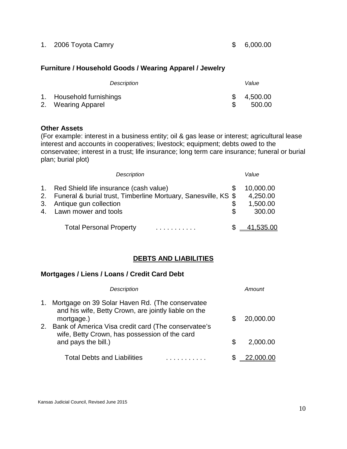1. 2006 Toyota Camry 6.000.00

# **Furniture / Household Goods / Wearing Apparel / Jewelry**

| Description                                    | Value                |
|------------------------------------------------|----------------------|
| 1. Household furnishings<br>2. Wearing Apparel | \$4,500.00<br>500.00 |

# **Other Assets**

(For example: interest in a business entity; oil & gas lease or interest; agricultural lease interest and accounts in cooperatives; livestock; equipment; debts owed to the conservatee; interest in a trust; life insurance; long term care insurance; funeral or burial plan; burial plot)

|                                  | <b>Description</b>                                                                                                                                         |              | Value                                       |
|----------------------------------|------------------------------------------------------------------------------------------------------------------------------------------------------------|--------------|---------------------------------------------|
| 1.<br>2 <sub>1</sub><br>3.<br>4. | Red Shield life insurance (cash value)<br>Funeral & burial trust, Timberline Mortuary, Sanesville, KS \$<br>Antique gun collection<br>Lawn mower and tools | S<br>\$<br>S | 10,000.00<br>4,250.00<br>1,500.00<br>300.00 |
|                                  | <b>Total Personal Property</b>                                                                                                                             |              | 41,535.00                                   |

# **DEBTS AND LIABILITIES**

# **Mortgages / Liens / Loans / Credit Card Debt**

|    | Description                                                                                                           |   | Amount    |
|----|-----------------------------------------------------------------------------------------------------------------------|---|-----------|
| 1. | Mortgage on 39 Solar Haven Rd. (The conservatee<br>and his wife, Betty Crown, are jointly liable on the<br>mortgage.) |   | 20,000.00 |
| 2. | Bank of America Visa credit card (The conservatee's<br>wife, Betty Crown, has possession of the card                  |   |           |
|    | and pays the bill.)                                                                                                   | S | 2,000.00  |
|    | <b>Total Debts and Liabilities</b>                                                                                    |   |           |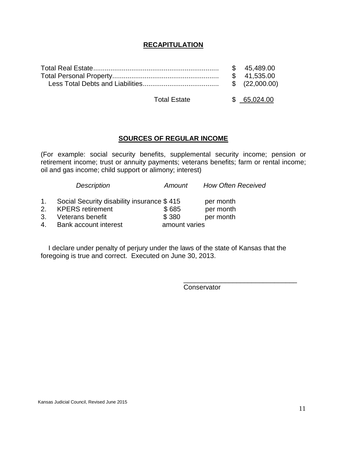# **RECAPITULATION**

|  | \$45.489.00 |
|--|-------------|
|  |             |
|  |             |
|  |             |

Total Estate  $$ 65,024.00$ 

# **SOURCES OF REGULAR INCOME**

(For example: social security benefits, supplemental security income; pension or retirement income; trust or annuity payments; veterans benefits; farm or rental income; oil and gas income; child support or alimony; interest)

|    | <b>Description</b>                         | Amount        | How Often Received |
|----|--------------------------------------------|---------------|--------------------|
| 1. | Social Security disability insurance \$415 |               | per month          |
| 2. | <b>KPERS</b> retirement                    | \$685         | per month          |
| 3. | Veterans benefit                           | \$380         | per month          |
| 4. | <b>Bank account interest</b>               | amount varies |                    |
|    |                                            |               |                    |

I declare under penalty of perjury under the laws of the state of Kansas that the foregoing is true and correct. Executed on June 30, 2013.

**Conservator** 

\_\_\_\_\_\_\_\_\_\_\_\_\_\_\_\_\_\_\_\_\_\_\_\_\_\_\_\_\_\_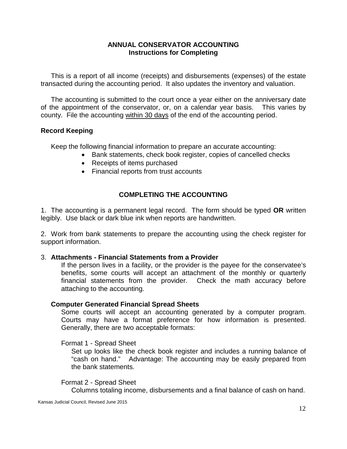## **ANNUAL CONSERVATOR ACCOUNTING Instructions for Completing**

This is a report of all income (receipts) and disbursements (expenses) of the estate transacted during the accounting period. It also updates the inventory and valuation.

The accounting is submitted to the court once a year either on the anniversary date of the appointment of the conservator, or, on a calendar year basis. This varies by county. File the accounting within 30 days of the end of the accounting period.

# **Record Keeping**

Keep the following financial information to prepare an accurate accounting:

- Bank statements, check book register, copies of cancelled checks
- Receipts of items purchased
- Financial reports from trust accounts

# **COMPLETING THE ACCOUNTING**

1. The accounting is a permanent legal record. The form should be typed **OR** written legibly. Use black or dark blue ink when reports are handwritten.

2. Work from bank statements to prepare the accounting using the check register for support information.

# 3. **Attachments - Financial Statements from a Provider**

If the person lives in a facility, or the provider is the payee for the conservatee's benefits, some courts will accept an attachment of the monthly or quarterly financial statements from the provider. Check the math accuracy before attaching to the accounting.

# **Computer Generated Financial Spread Sheets**

Some courts will accept an accounting generated by a computer program. Courts may have a format preference for how information is presented. Generally, there are two acceptable formats:

Format 1 - Spread Sheet

Set up looks like the check book register and includes a running balance of "cash on hand." Advantage: The accounting may be easily prepared from the bank statements.

# Format 2 - Spread Sheet

Columns totaling income, disbursements and a final balance of cash on hand.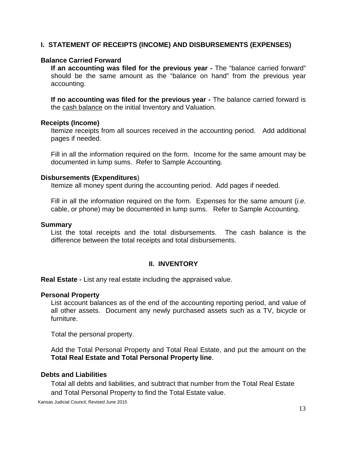# **I. STATEMENT OF RECEIPTS (INCOME) AND DISBURSEMENTS (EXPENSES)**

# **Balance Carried Forward**

**If an accounting was filed for the previous year -** The "balance carried forward" should be the same amount as the "balance on hand" from the previous year accounting.

**If no accounting was filed for the previous year -** The balance carried forward is the cash balance on the initial Inventory and Valuation.

#### **Receipts (Income)**

Itemize receipts from all sources received in the accounting period. Add additional pages if needed.

Fill in all the information required on the form. Income for the same amount may be documented in lump sums. Refer to Sample Accounting.

## **Disbursements (Expenditures**)

Itemize all money spent during the accounting period. Add pages if needed.

Fill in all the information required on the form. Expenses for the same amount (*i.e.* cable, or phone) may be documented in lump sums. Refer to Sample Accounting.

#### **Summary**

List the total receipts and the total disbursements. The cash balance is the difference between the total receipts and total disbursements.

## **II. INVENTORY**

**Real Estate -** List any real estate including the appraised value.

## **Personal Property**

List account balances as of the end of the accounting reporting period, and value of all other assets. Document any newly purchased assets such as a TV, bicycle or furniture.

Total the personal property.

Add the Total Personal Property and Total Real Estate, and put the amount on the **Total Real Estate and Total Personal Property line**.

# **Debts and Liabilities**

Total all debts and liabilities, and subtract that number from the Total Real Estate and Total Personal Property to find the Total Estate value.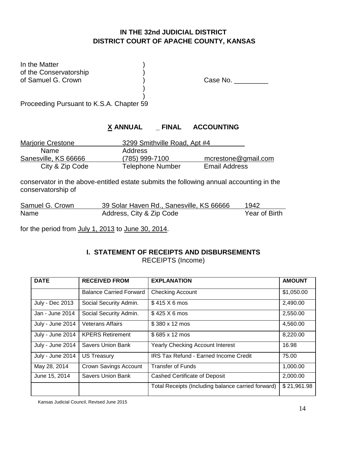# **IN THE 32nd JUDICIAL DISTRICT DISTRICT COURT OF APACHE COUNTY, KANSAS**

In the Matter of the Conservatorship<br>of Samuel G. Crown

Case No. \_\_\_\_\_\_\_\_\_\_

) Proceeding Pursuant to K.S.A. Chapter 59

# **X ANNUAL \_ FINAL ACCOUNTING**

| <b>Marjorie Crestone</b> | 3299 Smithville Road, Apt #4 |                      |
|--------------------------|------------------------------|----------------------|
| Name.                    | Address                      |                      |
| Sanesville, KS 66666     | (785) 999-7100               | mcrestone@gmail.com  |
| City & Zip Code          | <b>Telephone Number</b>      | <b>Email Address</b> |

)

conservator in the above-entitled estate submits the following annual accounting in the conservatorship of

| Samuel G. Crown | 39 Solar Haven Rd., Sanesville, KS 66666 | 1942          |
|-----------------|------------------------------------------|---------------|
| Name            | Address, City & Zip Code                 | Year of Birth |

for the period from July 1, 2013 to June 30, 2014.

## **I. STATEMENT OF RECEIPTS AND DISBURSEMENTS** RECEIPTS (Income)

| <b>DATE</b>      | <b>RECEIVED FROM</b>           | <b>EXPLANATION</b>                                 | <b>AMOUNT</b> |
|------------------|--------------------------------|----------------------------------------------------|---------------|
|                  | <b>Balance Carried Forward</b> | <b>Checking Account</b>                            | \$1,050.00    |
| July - Dec 2013  | Social Security Admin.         | $$415 \times 6 \text{ mos}$                        | 2,490.00      |
| Jan - June 2014  | Social Security Admin.         | $$425 \times 6 \text{ mos}$                        | 2,550.00      |
| July - June 2014 | <b>Veterans Affairs</b>        | \$380 x 12 mos                                     | 4,560.00      |
| July - June 2014 | <b>KPERS Retirement</b>        | $$685 \times 12 \text{ mos}$                       | 8,220.00      |
| July - June 2014 | <b>Savers Union Bank</b>       | <b>Yearly Checking Account Interest</b>            | 16.98         |
| July - June 2014 | <b>US Treasury</b>             | <b>IRS Tax Refund - Earned Income Credit</b>       | 75.00         |
| May 28, 2014     | Crown Savings Account          | <b>Transfer of Funds</b>                           | 1,000.00      |
| June 15, 2014    | <b>Savers Union Bank</b>       | Cashed Certificate of Deposit                      | 2,000.00      |
|                  |                                | Total Receipts (Including balance carried forward) | \$21,961.98   |

Kansas Judicial Council, Revised June 2015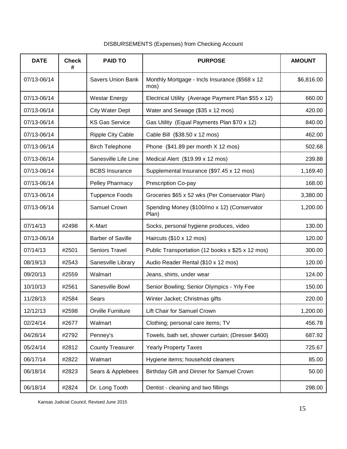| <b>DATE</b> | <b>Check</b><br># | <b>PAID TO</b>           | <b>PURPOSE</b>                                         | <b>AMOUNT</b> |
|-------------|-------------------|--------------------------|--------------------------------------------------------|---------------|
| 07/13-06/14 |                   | <b>Savers Union Bank</b> | Monthly Mortgage - Incls Insurance (\$568 x 12<br>mos) | \$6,816.00    |
| 07/13-06/14 |                   | <b>Westar Energy</b>     | Electrical Utility (Average Payment Plan \$55 x 12)    | 660.00        |
| 07/13-06/14 |                   | <b>City Water Dept</b>   | Water and Sewage (\$35 x 12 mos)                       | 420.00        |
| 07/13-06/14 |                   | <b>KS Gas Service</b>    | Gas Utility (Equal Payments Plan \$70 x 12)            | 840.00        |
| 07/13-06/14 |                   | <b>Ripple City Cable</b> | Cable Bill (\$38.50 x 12 mos)                          | 462.00        |
| 07/13-06/14 |                   | <b>Birch Telephone</b>   | Phone (\$41.89 per month X 12 mos)                     | 502.68        |
| 07/13-06/14 |                   | Sanesville Life Line     | Medical Alert (\$19.99 x 12 mos)                       | 239.88        |
| 07/13-06/14 |                   | <b>BCBS</b> Insurance    | Supplemental Insurance (\$97.45 x 12 mos)              | 1,169.40      |
| 07/13-06/14 |                   | Pelley Pharmacy          | Prescription Co-pay                                    | 168.00        |
| 07/13-06/14 |                   | <b>Tuppence Foods</b>    | Groceries \$65 x 52 wks (Per Conservator Plan)         | 3,380.00      |
| 07/13-06/14 |                   | Samuel Crown             | Spending Money (\$100/mo x 12) (Conservator<br>Plan)   | 1,200.00      |
| 07/14/13    | #2498             | K-Mart                   | Socks, personal hygiene produces, video                | 130.00        |
| 07/13-06/14 |                   | <b>Barber of Saville</b> | Haircuts (\$10 x 12 mos)                               | 120.00        |
| 07/14/13    | #2501             | Seniors Travel           | Public Transportation (12 books x \$25 x 12 mos)       | 300.00        |
| 08/19/13    | #2543             | Sanesville Library       | Audio Reader Rental (\$10 x 12 mos)                    | 120.00        |
| 09/20/13    | #2559             | Walmart                  | Jeans, shirts, under wear                              | 124.00        |
| 10/10/13    | #2561             | Sanesville Bowl          | Senior Bowling; Senior Olympics - Yrly Fee             | 150.00        |
| 11/28/13    | #2584             | Sears                    | Winter Jacket; Christmas gifts                         | 220.00        |
| 12/12/13    | #2598             | Orville Furniture        | Lift Chair for Samuel Crown                            | 1,200.00      |
| 02/24/14    | #2677             | Walmart                  | Clothing; personal care items; TV                      | 456.78        |
| 04/28/14    | #2792             | Penney's                 | Towels, bath set, shower curtain; (Dresser \$400)      | 687.92        |
| 05/24/14    | #2812             | <b>County Treasurer</b>  | <b>Yearly Property Taxes</b>                           | 725.67        |
| 06/17/14    | #2822             | Walmart                  | Hygiene items; household cleaners                      | 85.00         |
| 06/18/14    | #2823             | Sears & Applebees        | Birthday Gift and Dinner for Samuel Crown              | 50.00         |
| 06/18/14    | #2824             | Dr. Long Tooth           | Dentist - cleaning and two fillings                    | 298.00        |

# DISBURSEMENTS (Expenses) from Checking Account

Kansas Judicial Council, Revised June 2015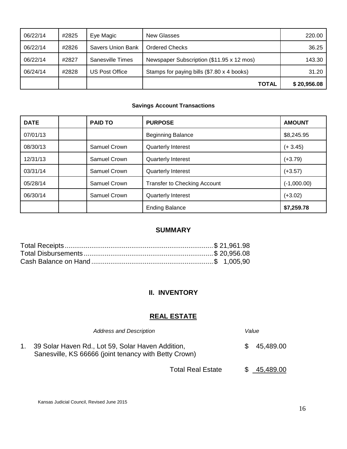| 06/22/14 | #2825 | Eye Magic         | New Glasses                                | 220.00      |
|----------|-------|-------------------|--------------------------------------------|-------------|
| 06/22/14 | #2826 | Savers Union Bank | Ordered Checks                             | 36.25       |
| 06/22/14 | #2827 | Sanesville Times  | Newspaper Subscription (\$11.95 x 12 mos)  | 143.30      |
| 06/24/14 | #2828 | US Post Office    | Stamps for paying bills (\$7.80 x 4 books) | 31.20       |
|          |       |                   | <b>TOTAL</b>                               | \$20,956.08 |

## **Savings Account Transactions**

| <b>DATE</b> | <b>PAID TO</b>      | <b>PURPOSE</b>               | <b>AMOUNT</b> |
|-------------|---------------------|------------------------------|---------------|
| 07/01/13    |                     | <b>Beginning Balance</b>     | \$8,245.95    |
| 08/30/13    | Samuel Crown        | <b>Quarterly Interest</b>    | $(+3.45)$     |
| 12/31/13    | Samuel Crown        | <b>Quarterly Interest</b>    | $(+3.79)$     |
| 03/31/14    | Samuel Crown        | <b>Quarterly Interest</b>    | $(+3.57)$     |
| 05/28/14    | Samuel Crown        | Transfer to Checking Account | $(-1,000.00)$ |
| 06/30/14    | <b>Samuel Crown</b> | <b>Quarterly Interest</b>    | $(+3.02)$     |
|             |                     | <b>Ending Balance</b>        | \$7,259.78    |

# **SUMMARY**

# **II. INVENTORY**

# **REAL ESTATE**

| <b>Address and Description</b>                                                                             |     | Value       |
|------------------------------------------------------------------------------------------------------------|-----|-------------|
| 39 Solar Haven Rd., Lot 59, Solar Haven Addition,<br>Sanesville, KS 66666 (joint tenancy with Betty Crown) | SS. | 45,489.00   |
| <b>Total Real Estate</b>                                                                                   |     | \$45,489.00 |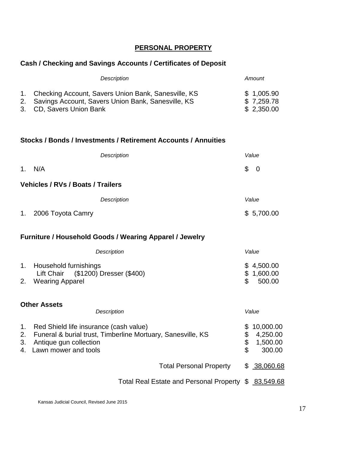# **PERSONAL PROPERTY**

# **Cash / Checking and Savings Accounts / Certificates of Deposit**

| Description                                            | Amount     |
|--------------------------------------------------------|------------|
| 1. Checking Account, Savers Union Bank, Sanesville, KS | \$1,005.90 |
| 2. Savings Account, Savers Union Bank, Sanesville, KS  | \$7,259.78 |
| 3. CD, Savers Union Bank                               | \$2,350.00 |

#### **Stocks / Bonds / Investments / Retirement Accounts / Annuities**

|    | <b>Description</b>                       | Value                                        |
|----|------------------------------------------|----------------------------------------------|
|    | 1. N/A                                   | $\begin{matrix} 1 & 0 \\ 0 & 0 \end{matrix}$ |
|    | <b>Vehicles / RVs / Boats / Trailers</b> |                                              |
|    | <b>Description</b>                       | Value                                        |
| 1. | 2006 Toyota Camry                        | \$5,700.00                                   |

# **Furniture / Household Goods / Wearing Apparel / Jewelry**

| Description                                                  | Value                    |
|--------------------------------------------------------------|--------------------------|
| Household furnishings<br>Lift Chair (\$1200) Dresser (\$400) | \$4,500.00<br>\$1,600.00 |
| 2. Wearing Apparel                                           | 500.00<br>\$.            |

## **Other Assets**

|          | Description                                                                                                                                                   |                | Value                                       |
|----------|---------------------------------------------------------------------------------------------------------------------------------------------------------------|----------------|---------------------------------------------|
| 1.<br>3. | Red Shield life insurance (cash value)<br>2. Funeral & burial trust, Timberline Mortuary, Sanesville, KS<br>Antique gun collection<br>4. Lawn mower and tools | \$<br>\$<br>\$ | 10,000.00<br>4,250.00<br>1,500.00<br>300.00 |
|          | <b>Total Personal Property</b>                                                                                                                                |                | \$38,060.68                                 |
|          | Total Real Estate and Personal Property \$ 83,549.68                                                                                                          |                |                                             |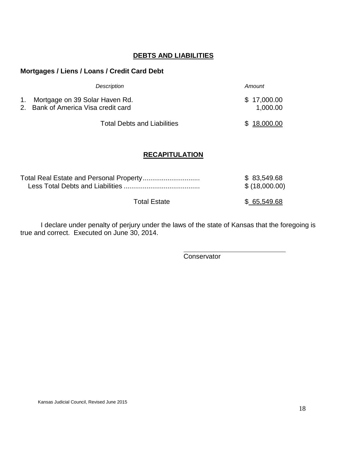# **DEBTS AND LIABILITIES**

# **Mortgages / Liens / Loans / Credit Card Debt**

| Description                                                              | Amount                  |
|--------------------------------------------------------------------------|-------------------------|
| 1. Mortgage on 39 Solar Haven Rd.<br>2. Bank of America Visa credit card | \$17,000.00<br>1,000.00 |
| <b>Total Debts and Liabilities</b>                                       | \$18,000.00             |

# **RECAPITULATION**

|                     | \$ 83,549.68  |
|---------------------|---------------|
|                     | \$(18,000.00) |
| <b>Total Estate</b> | \$ 65,549.68  |

I declare under penalty of perjury under the laws of the state of Kansas that the foregoing is true and correct. Executed on June 30, 2014.

**Conservator**